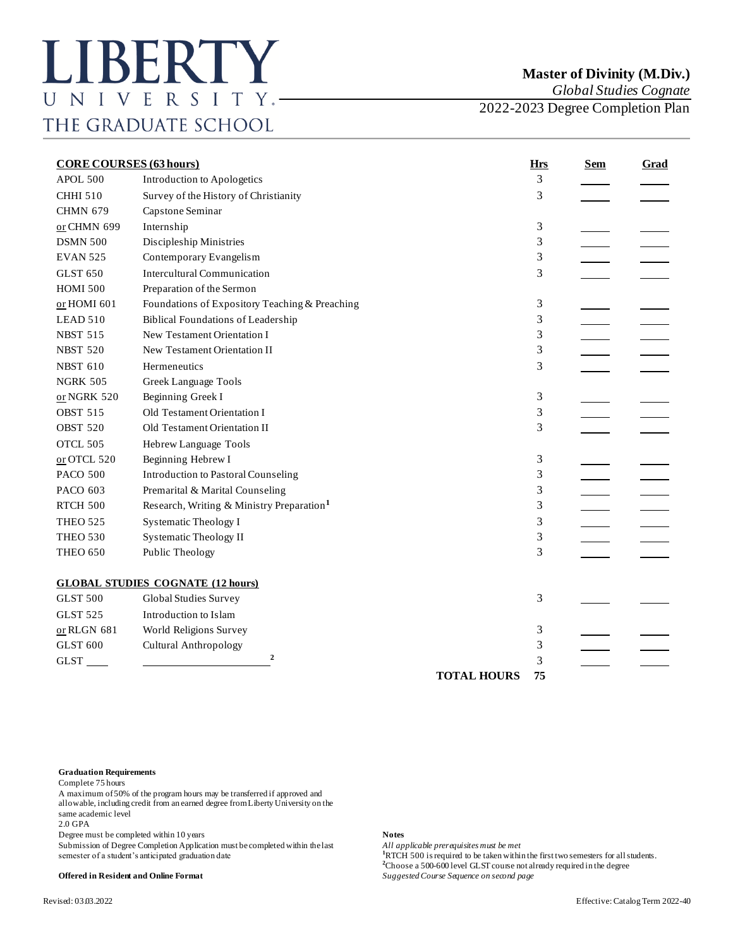*Global Studies Cognate*

2022-2023 Degree Completion Plan

| <b>CORE COURSES (63 hours)</b> |                                                       |                    | <b>Hrs</b> | <b>Sem</b> | <b>Grad</b> |
|--------------------------------|-------------------------------------------------------|--------------------|------------|------------|-------------|
| <b>APOL 500</b>                | Introduction to Apologetics                           |                    | 3          |            |             |
| <b>CHHI 510</b>                | Survey of the History of Christianity                 |                    | 3          |            |             |
| <b>CHMN 679</b>                | Capstone Seminar                                      |                    |            |            |             |
| or CHMN 699                    | Internship                                            |                    | 3          |            |             |
| <b>DSMN 500</b>                | Discipleship Ministries                               |                    | 3          |            |             |
| <b>EVAN 525</b>                | Contemporary Evangelism                               |                    | 3          |            |             |
| <b>GLST 650</b>                | <b>Intercultural Communication</b>                    |                    | 3          |            |             |
| <b>HOMI 500</b>                | Preparation of the Sermon                             |                    |            |            |             |
| or HOMI 601                    | Foundations of Expository Teaching & Preaching        |                    | 3          |            |             |
| LEAD 510                       | <b>Biblical Foundations of Leadership</b>             |                    | 3          |            |             |
| <b>NBST 515</b>                | New Testament Orientation I                           |                    | 3          |            |             |
| <b>NBST 520</b>                | New Testament Orientation II                          |                    | 3          |            |             |
| <b>NBST 610</b>                | Hermeneutics                                          |                    | 3          |            |             |
| <b>NGRK 505</b>                | Greek Language Tools                                  |                    |            |            |             |
| $or$ NGRK 520                  | Beginning Greek I                                     |                    | 3          |            |             |
| <b>OBST 515</b>                | Old Testament Orientation I                           |                    | 3          |            |             |
| <b>OBST 520</b>                | Old Testament Orientation II                          |                    | 3          |            |             |
| OTCL 505                       | Hebrew Language Tools                                 |                    |            |            |             |
| or OTCL 520                    | Beginning Hebrew I                                    |                    | 3          |            |             |
| <b>PACO 500</b>                | <b>Introduction to Pastoral Counseling</b>            |                    | 3          |            |             |
| PACO 603                       | Premarital & Marital Counseling                       |                    | 3          |            |             |
| RTCH 500                       | Research, Writing & Ministry Preparation <sup>1</sup> |                    | 3          |            |             |
| <b>THEO 525</b>                | <b>Systematic Theology I</b>                          |                    | 3          |            |             |
| <b>THEO 530</b>                | <b>Systematic Theology II</b>                         |                    | 3          |            |             |
| <b>THEO 650</b>                | Public Theology                                       |                    | 3          |            |             |
|                                | <b>GLOBAL STUDIES COGNATE (12 hours)</b>              |                    |            |            |             |
| <b>GLST 500</b>                | Global Studies Survey                                 |                    | 3          |            |             |
| <b>GLST 525</b>                | Introduction to Islam                                 |                    |            |            |             |
| $or RLGN 681$                  | World Religions Survey                                |                    | 3          |            |             |
| <b>GLST 600</b>                | <b>Cultural Anthropology</b>                          |                    | 3          |            |             |
| <b>GLST</b>                    | 2                                                     |                    | 3          |            |             |
|                                |                                                       | <b>TOTAL HOURS</b> | 75         |            |             |

## **Graduation Requirements**

Complete 75 hours

A maximum of 50% of the program hours may be transferred if approved and allowable, including credit from an earned degree from Liberty University on the same academic level

2.0 GPA

Degree must be completed within 10 years<br>
Submission of Degree Completion Application must be completed within the last *All applicable prerequisites must be met* Submission of Degree Completion Application must be completed within the last semester of a student's anticipated graduation date **1**RTCH 500 is required to be taken within the first two semesters for all students.

## **Offered in Resident and Online Format** *Suggested Course Sequence on second page*

**<sup>2</sup>**Choose a 500-600 level GLST course not already required in the degree